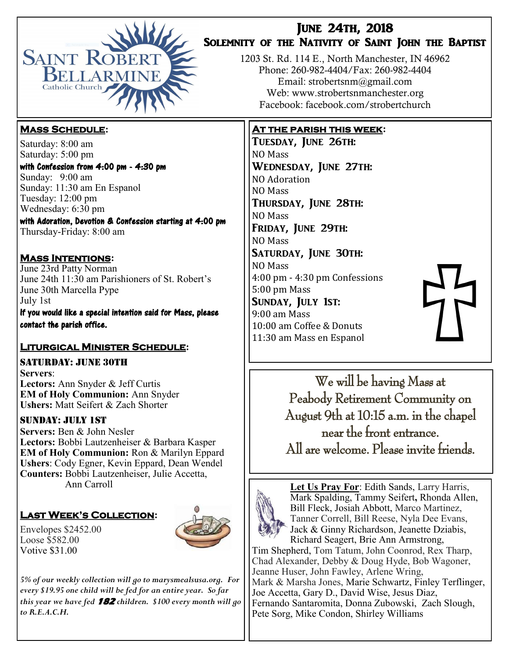

# June 24th, 2018

# SOLEMNITY OF THE NATIVITY OF SAINT JOHN THE BAPTIST

1203 St. Rd. 114 E., North Manchester, IN 46962 Phone: 260-982-4404/Fax: 260-982-4404 Email: strobertsnm@gmail.com Web: www.strobertsnmanchester.org Facebook: facebook.com/strobertchurch

## **Mass Schedule:**

Saturday: 8:00 am Saturday: 5:00 pm

with Confession from 4:00 pm - 4:30 pm Sunday: 9:00 am Sunday: 11:30 am En Espanol Tuesday: 12:00 pm Wednesday: 6:30 pm

with Adoration, Devotion & Confession starting at 4:00 pm Thursday-Friday: 8:00 am

# **Mass Intentions:**

June 23rd Patty Norman June 24th 11:30 am Parishioners of St. Robert's June 30th Marcella Pype July 1st

If you would like a special intention said for Mass, please contact the parish office.

# **Liturgical Minister Schedule:**

#### Saturday: June 30th

**Servers**: **Lectors:** Ann Snyder & Jeff Curtis **EM of Holy Communion:** Ann Snyder **Ushers:** Matt Seifert & Zach Shorter

### Sunday: July 1st

**Servers:** Ben & John Nesler **Lectors:** Bobbi Lautzenheiser & Barbara Kasper **EM of Holy Communion:** Ron & Marilyn Eppard **Ushers**: Cody Egner, Kevin Eppard, Dean Wendel **Counters:** Bobbi Lautzenheiser, Julie Accetta, Ann Carroll

### **Last Week's Collection:**

Envelopes \$2452.00 Loose \$582.00 Votive \$31.00



*5% of our weekly collection will go to marysmealsusa.org. For every \$19.95 one child will be fed for an entire year. So far this year we have fed* **182** *children. \$100 every month will go to R.E.A.C.H.*

#### **At the parish this week:**

Tuesday, June 26th: NO Mass Wednesday, June 27th: NO Adoration NO Mass Thursday, June 28th: NO Mass Friday, June 29th: NO Mass Saturday, June 30th: NO Mass 4:00 pm - 4:30 pm Confessions 5:00 pm Mass Sunday, July 1st: 9:00 am Mass 10:00 am Coffee & Donuts 11:30 am Mass en Espanol

We will be having Mass at Peabody Retirement Community on August 9th at 10:15 a.m. in the chapel near the front entrance. All are welcome. Please invite friends.



**Let Us Pray For**: Edith Sands, Larry Harris, Mark Spalding, Tammy Seifert**,** Rhonda Allen, Bill Fleck, Josiah Abbott, Marco Martinez, Tanner Correll, Bill Reese, Nyla Dee Evans, Jack & Ginny Richardson, Jeanette Dziabis, Richard Seagert, Brie Ann Armstrong,

Tim Shepherd, Tom Tatum, John Coonrod, Rex Tharp, Chad Alexander, Debby & Doug Hyde, Bob Wagoner, Jeanne Huser, John Fawley, Arlene Wring, Mark & Marsha Jones, Marie Schwartz, Finley Terflinger, Joe Accetta, Gary D., David Wise, Jesus Diaz, Fernando Santaromita, Donna Zubowski, Zach Slough, Pete Sorg, Mike Condon, Shirley Williams